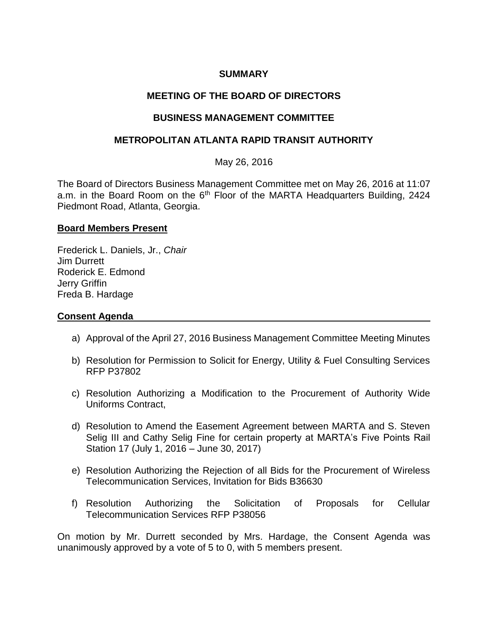# **SUMMARY**

# **MEETING OF THE BOARD OF DIRECTORS**

# **BUSINESS MANAGEMENT COMMITTEE**

# **METROPOLITAN ATLANTA RAPID TRANSIT AUTHORITY**

May 26, 2016

The Board of Directors Business Management Committee met on May 26, 2016 at 11:07 a.m. in the Board Room on the 6<sup>th</sup> Floor of the MARTA Headquarters Building, 2424 Piedmont Road, Atlanta, Georgia.

#### **Board Members Present**

Frederick L. Daniels, Jr., *Chair* Jim Durrett Roderick E. Edmond Jerry Griffin Freda B. Hardage

### **Consent Agenda**

- a) Approval of the April 27, 2016 Business Management Committee Meeting Minutes
- b) Resolution for Permission to Solicit for Energy, Utility & Fuel Consulting Services RFP P37802
- c) Resolution Authorizing a Modification to the Procurement of Authority Wide Uniforms Contract,
- d) Resolution to Amend the Easement Agreement between MARTA and S. Steven Selig III and Cathy Selig Fine for certain property at MARTA's Five Points Rail Station 17 (July 1, 2016 – June 30, 2017)
- e) Resolution Authorizing the Rejection of all Bids for the Procurement of Wireless Telecommunication Services, Invitation for Bids B36630
- f) Resolution Authorizing the Solicitation of Proposals for Cellular Telecommunication Services RFP P38056

On motion by Mr. Durrett seconded by Mrs. Hardage, the Consent Agenda was unanimously approved by a vote of 5 to 0, with 5 members present.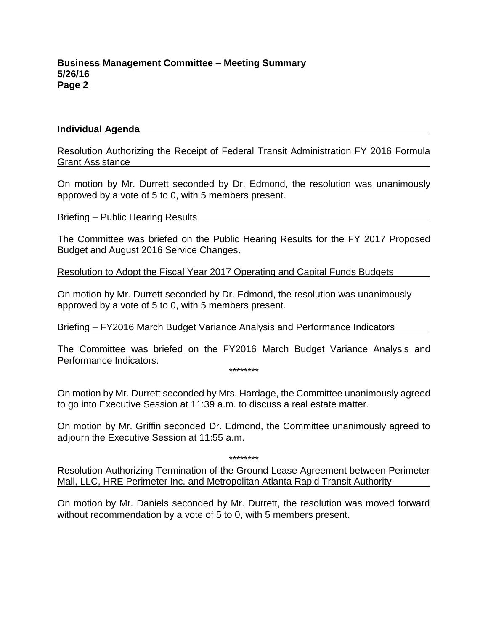#### **Individual Agenda**

Resolution Authorizing the Receipt of Federal Transit Administration FY 2016 Formula Grant Assistance

On motion by Mr. Durrett seconded by Dr. Edmond, the resolution was unanimously approved by a vote of 5 to 0, with 5 members present.

Briefing – Public Hearing Results

The Committee was briefed on the Public Hearing Results for the FY 2017 Proposed Budget and August 2016 Service Changes.

Resolution to Adopt the Fiscal Year 2017 Operating and Capital Funds Budgets

On motion by Mr. Durrett seconded by Dr. Edmond, the resolution was unanimously approved by a vote of 5 to 0, with 5 members present.

Briefing – FY2016 March Budget Variance Analysis and Performance Indicators

The Committee was briefed on the FY2016 March Budget Variance Analysis and Performance Indicators.

\*\*\*\*\*\*\*\*

On motion by Mr. Durrett seconded by Mrs. Hardage, the Committee unanimously agreed to go into Executive Session at 11:39 a.m. to discuss a real estate matter.

On motion by Mr. Griffin seconded Dr. Edmond, the Committee unanimously agreed to adjourn the Executive Session at 11:55 a.m.

\*\*\*\*\*\*\*\*

Resolution Authorizing Termination of the Ground Lease Agreement between Perimeter Mall, LLC, HRE Perimeter Inc. and Metropolitan Atlanta Rapid Transit Authority

On motion by Mr. Daniels seconded by Mr. Durrett, the resolution was moved forward without recommendation by a vote of 5 to 0, with 5 members present.